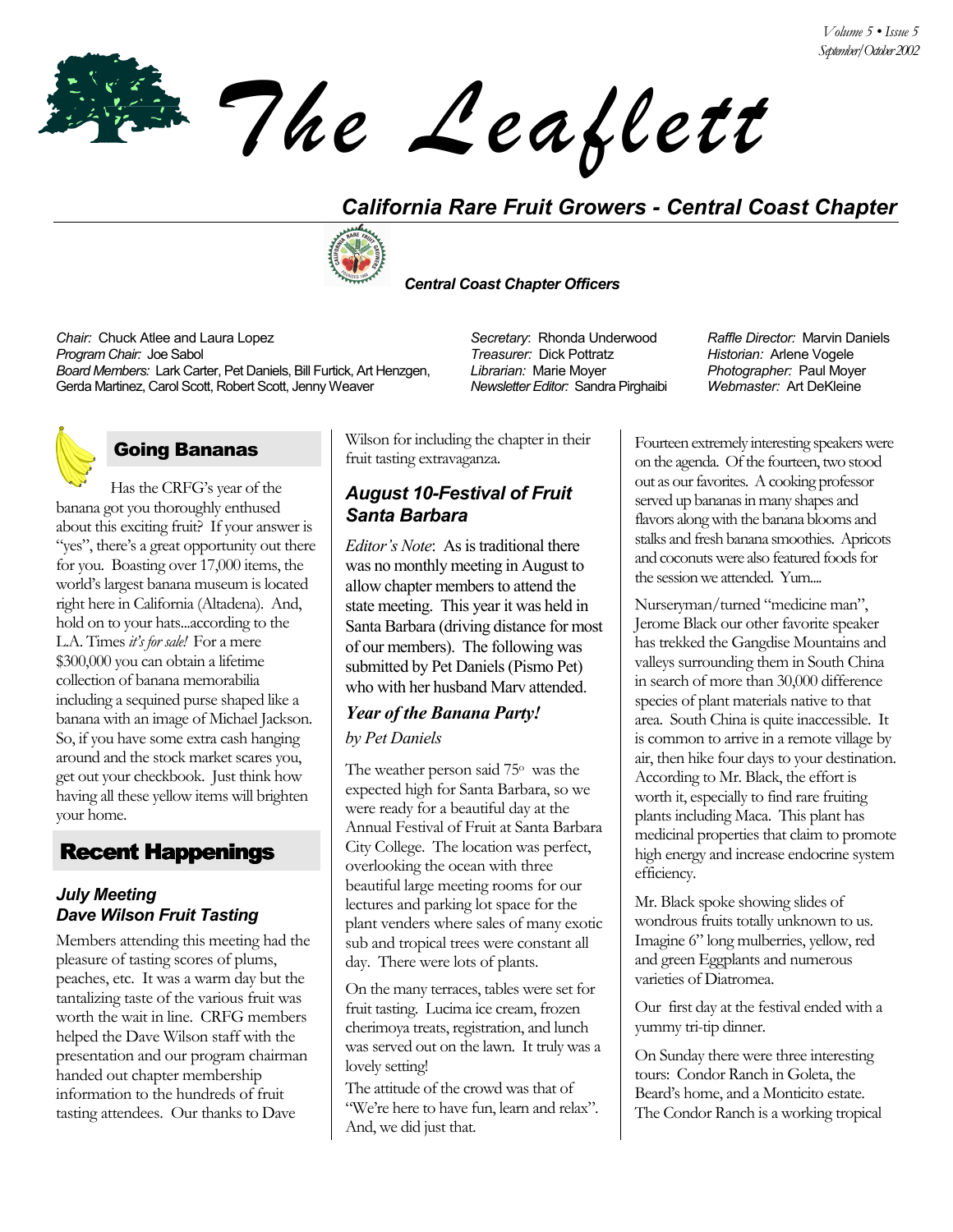*The Leaflett*

# *California Rare Fruit Growers - Central Coast Chapter*



#### *Central Coast Chapter Officers*

*Chair:* Chuck Atlee and Laura Lopez *Secretary*: Rhonda Underwood *Raffle Director:* Marvin Daniels *Program Chair:* Joe Sabol *Treasurer:* Dick Pottratz *Historian:* Arlene Vogele *Board Members:* Lark Carter, Pet Daniels, Bill Furtick, Art Henzgen, Gerda Martinez, Carol Scott, Robert Scott, Jenny Weaver

## Going Bananas

Has the CRFG's year of the banana got you thoroughly enthused about this exciting fruit? If your answer is "yes", there's a great opportunity out there for you. Boasting over 17,000 items, the world's largest banana museum is located right here in California (Altadena). And, hold on to your hats...according to the L.A. Times *itís for sale!* For a mere \$300,000 you can obtain a lifetime collection of banana memorabilia including a sequined purse shaped like a banana with an image of Michael Jackson. So, if you have some extra cash hanging around and the stock market scares you, get out your checkbook. Just think how having all these yellow items will brighten your home.

# Recent Happenings

### *July Meeting Dave Wilson Fruit Tasting*

Members attending this meeting had the pleasure of tasting scores of plums, peaches, etc. It was a warm day but the tantalizing taste of the various fruit was worth the wait in line. CRFG members helped the Dave Wilson staff with the presentation and our program chairman handed out chapter membership information to the hundreds of fruit tasting attendees. Our thanks to Dave

Wilson for including the chapter in their fruit tasting extravaganza.

### *August 10-Festival of Fruit Santa Barbara*

*Editor's Note*: As is traditional there was no monthly meeting in August to allow chapter members to attend the state meeting. This year it was held in Santa Barbara (driving distance for most of our members). The following was submitted by Pet Daniels (Pismo Pet) who with her husband Marv attended.

### *Year of the Banana Party! by Pet Daniels*

The weather person said 75° was the expected high for Santa Barbara, so we were ready for a beautiful day at the Annual Festival of Fruit at Santa Barbara City College. The location was perfect, overlooking the ocean with three beautiful large meeting rooms for our lectures and parking lot space for the plant venders where sales of many exotic sub and tropical trees were constant all day. There were lots of plants.

On the many terraces, tables were set for fruit tasting. Lucima ice cream, frozen cherimoya treats, registration, and lunch was served out on the lawn. It truly was a lovely setting!

The attitude of the crowd was that of "We're here to have fun, learn and relax". And, we did just that.

*Librarian:* Marie Moyer *Newsletter Editor:* Sandra Pirghaibi *Photographer:* Paul Moyer *Webmaster:* Art DeKleine

Fourteen extremely interesting speakers were on the agenda. Of the fourteen, two stood out as our favorites. A cooking professor served up bananas in many shapes and flavors along with the banana blooms and stalks and fresh banana smoothies. Apricots and coconuts were also featured foods for the session we attended. Yum....

Nurseryman/turned "medicine man", Jerome Black our other favorite speaker has trekked the Gangdise Mountains and valleys surrounding them in South China in search of more than 30,000 difference species of plant materials native to that area. South China is quite inaccessible. It is common to arrive in a remote village by air, then hike four days to your destination. According to Mr. Black, the effort is worth it, especially to find rare fruiting plants including Maca. This plant has medicinal properties that claim to promote high energy and increase endocrine system efficiency.

Mr. Black spoke showing slides of wondrous fruits totally unknown to us. Imagine 6" long mulberries, yellow, red and green Eggplants and numerous varieties of Diatromea.

Our first day at the festival ended with a yummy tri-tip dinner.

On Sunday there were three interesting tours: Condor Ranch in Goleta, the Beard's home, and a Monticito estate. The Condor Ranch is a working tropical